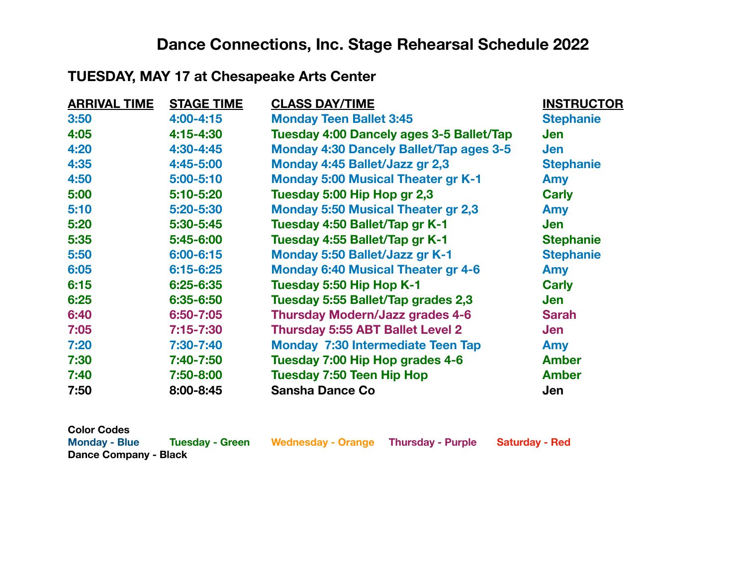# **Dance Connections, Inc. Stage Rehearsal Schedule 2022**

### **TUESDAY, MAY 17 at Chesapeake Arts Center**

| <b>ARRIVAL TIME</b> | <b>STAGE TIME</b> | <b>CLASS DAY/TIME</b>                          | <b>INSTRUCTOR</b> |
|---------------------|-------------------|------------------------------------------------|-------------------|
| 3:50                | $4:00 - 4:15$     | <b>Monday Teen Ballet 3:45</b>                 | <b>Stephanie</b>  |
| 4:05                | 4:15-4:30         | Tuesday 4:00 Dancely ages 3-5 Ballet/Tap       | Jen               |
| 4:20                | 4:30-4:45         | <b>Monday 4:30 Dancely Ballet/Tap ages 3-5</b> | <b>Jen</b>        |
| 4:35                | 4:45-5:00         | Monday 4:45 Ballet/Jazz gr 2,3                 | <b>Stephanie</b>  |
| 4:50                | 5:00-5:10         | <b>Monday 5:00 Musical Theater gr K-1</b>      | <b>Amy</b>        |
| 5:00                | 5:10-5:20         | Tuesday 5:00 Hip Hop gr 2,3                    | <b>Carly</b>      |
| 5:10                | 5:20-5:30         | <b>Monday 5:50 Musical Theater gr 2,3</b>      | <b>Amy</b>        |
| 5:20                | 5:30-5:45         | Tuesday 4:50 Ballet/Tap gr K-1                 | Jen               |
| 5:35                | 5:45-6:00         | Tuesday 4:55 Ballet/Tap gr K-1                 | <b>Stephanie</b>  |
| 5:50                | 6:00-6:15         | <b>Monday 5:50 Ballet/Jazz gr K-1</b>          | <b>Stephanie</b>  |
| 6:05                | $6:15 - 6:25$     | <b>Monday 6:40 Musical Theater gr 4-6</b>      | <b>Amy</b>        |
| 6:15                | 6:25-6:35         | Tuesday 5:50 Hip Hop K-1                       | <b>Carly</b>      |
| 6:25                | 6:35-6:50         | Tuesday 5:55 Ballet/Tap grades 2,3             | Jen               |
| 6:40                | 6:50-7:05         | <b>Thursday Modern/Jazz grades 4-6</b>         | <b>Sarah</b>      |
| 7:05                | $7:15 - 7:30$     | <b>Thursday 5:55 ABT Ballet Level 2</b>        | Jen               |
| 7:20                | 7:30-7:40         | <b>Monday 7:30 Intermediate Teen Tap</b>       | Amy               |
| 7:30                | 7:40-7:50         | Tuesday 7:00 Hip Hop grades 4-6                | <b>Amber</b>      |
| 7:40                | 7:50-8:00         | <b>Tuesday 7:50 Teen Hip Hop</b>               | <b>Amber</b>      |
| 7:50                | 8:00-8:45         | <b>Sansha Dance Co</b>                         | Jen               |

| <b>Color Codes</b>           |                 |                    |                   |                |
|------------------------------|-----------------|--------------------|-------------------|----------------|
| <b>Monday - Blue</b>         | Tuesday - Green | Wednesday - Orange | Thursday - Purple | Saturday - Red |
| <b>Dance Company - Black</b> |                 |                    |                   |                |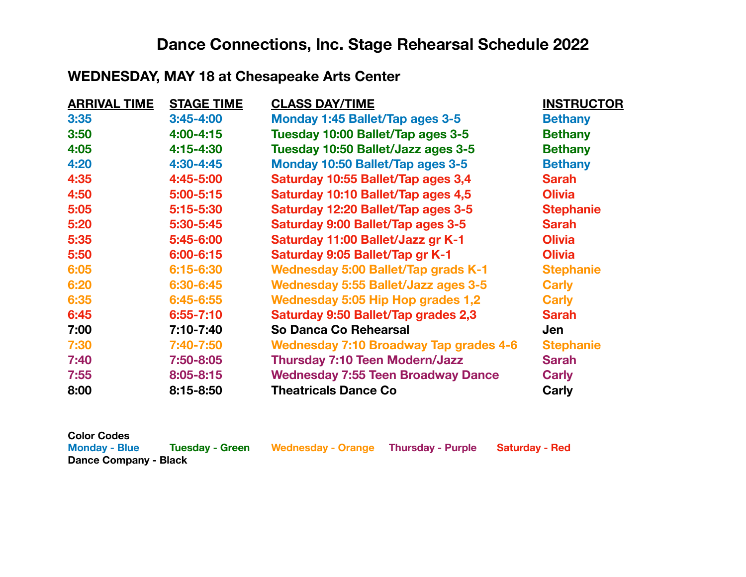# **Dance Connections, Inc. Stage Rehearsal Schedule 2022**

### **WEDNESDAY, MAY 18 at Chesapeake Arts Center**

| <b>ARRIVAL TIME</b> | <b>STAGE TIME</b> | <b>CLASS DAY/TIME</b>                         | <b>INSTRUCTOR</b> |
|---------------------|-------------------|-----------------------------------------------|-------------------|
| 3:35                | $3:45 - 4:00$     | Monday 1:45 Ballet/Tap ages 3-5               | <b>Bethany</b>    |
| 3:50                | $4:00 - 4:15$     | Tuesday 10:00 Ballet/Tap ages 3-5             | <b>Bethany</b>    |
| 4:05                | 4:15-4:30         | Tuesday 10:50 Ballet/Jazz ages 3-5            | <b>Bethany</b>    |
| 4:20                | 4:30-4:45         | Monday 10:50 Ballet/Tap ages 3-5              | <b>Bethany</b>    |
| 4:35                | 4:45-5:00         | Saturday 10:55 Ballet/Tap ages 3,4            | <b>Sarah</b>      |
| 4:50                | $5:00 - 5:15$     | Saturday 10:10 Ballet/Tap ages 4,5            | <b>Olivia</b>     |
| 5:05                | 5:15-5:30         | Saturday 12:20 Ballet/Tap ages 3-5            | <b>Stephanie</b>  |
| 5:20                | 5:30-5:45         | Saturday 9:00 Ballet/Tap ages 3-5             | <b>Sarah</b>      |
| 5:35                | 5:45-6:00         | Saturday 11:00 Ballet/Jazz gr K-1             | <b>Olivia</b>     |
| 5:50                | $6:00 - 6:15$     | Saturday 9:05 Ballet/Tap gr K-1               | <b>Olivia</b>     |
| 6:05                | 6:15-6:30         | <b>Wednesday 5:00 Ballet/Tap grads K-1</b>    | <b>Stephanie</b>  |
| 6:20                | 6:30-6:45         | <b>Wednesday 5:55 Ballet/Jazz ages 3-5</b>    | <b>Carly</b>      |
| 6:35                | 6:45-6:55         | Wednesday 5:05 Hip Hop grades 1,2             | <b>Carly</b>      |
| 6:45                | $6:55 - 7:10$     | Saturday 9:50 Ballet/Tap grades 2,3           | <b>Sarah</b>      |
| 7:00                | 7:10-7:40         | So Danca Co Rehearsal                         | Jen               |
| 7:30                | 7:40-7:50         | <b>Wednesday 7:10 Broadway Tap grades 4-6</b> | <b>Stephanie</b>  |
| 7:40                | 7:50-8:05         | <b>Thursday 7:10 Teen Modern/Jazz</b>         | <b>Sarah</b>      |
| 7:55                | 8:05-8:15         | <b>Wednesday 7:55 Teen Broadway Dance</b>     | <b>Carly</b>      |
| 8:00                | 8:15-8:50         | <b>Theatricals Dance Co</b>                   | Carly             |

| <b>Color Codes</b>    |                 |                    |                          |                       |
|-----------------------|-----------------|--------------------|--------------------------|-----------------------|
| <b>Monday - Blue</b>  | Tuesday - Green | Wednesday - Orange | <b>Thursday - Purple</b> | <b>Saturday - Red</b> |
| Dance Company - Black |                 |                    |                          |                       |